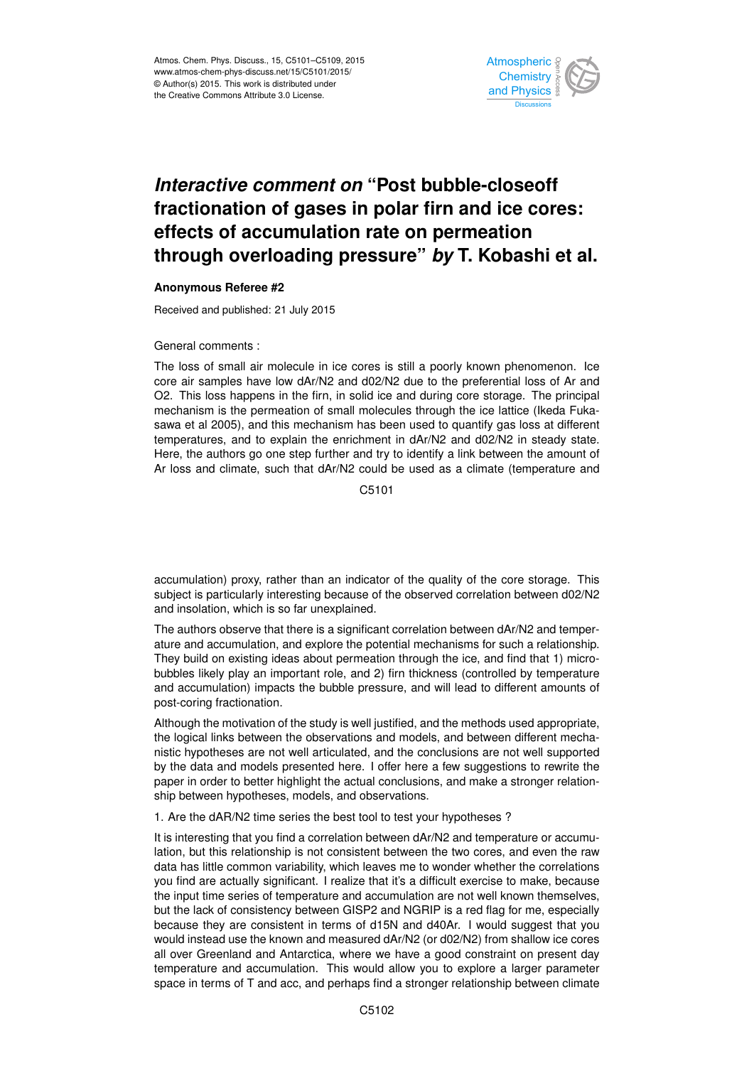

## *Interactive comment on* **"Post bubble-closeoff fractionation of gases in polar firn and ice cores: effects of accumulation rate on permeation through overloading pressure"** *by* **T. Kobashi et al.**

## **Anonymous Referee #2**

Received and published: 21 July 2015

General comments :

The loss of small air molecule in ice cores is still a poorly known phenomenon. Ice core air samples have low dAr/N2 and d02/N2 due to the preferential loss of Ar and O2. This loss happens in the firn, in solid ice and during core storage. The principal mechanism is the permeation of small molecules through the ice lattice (Ikeda Fukasawa et al 2005), and this mechanism has been used to quantify gas loss at different temperatures, and to explain the enrichment in dAr/N2 and d02/N2 in steady state. Here, the authors go one step further and try to identify a link between the amount of Ar loss and climate, such that dAr/N2 could be used as a climate (temperature and

C5101

accumulation) proxy, rather than an indicator of the quality of the core storage. This subject is particularly interesting because of the observed correlation between d02/N2 and insolation, which is so far unexplained.

The authors observe that there is a significant correlation between dAr/N2 and temperature and accumulation, and explore the potential mechanisms for such a relationship. They build on existing ideas about permeation through the ice, and find that 1) microbubbles likely play an important role, and 2) firn thickness (controlled by temperature and accumulation) impacts the bubble pressure, and will lead to different amounts of post-coring fractionation.

Although the motivation of the study is well justified, and the methods used appropriate, the logical links between the observations and models, and between different mechanistic hypotheses are not well articulated, and the conclusions are not well supported by the data and models presented here. I offer here a few suggestions to rewrite the paper in order to better highlight the actual conclusions, and make a stronger relationship between hypotheses, models, and observations.

1. Are the dAR/N2 time series the best tool to test your hypotheses ?

It is interesting that you find a correlation between dAr/N2 and temperature or accumulation, but this relationship is not consistent between the two cores, and even the raw data has little common variability, which leaves me to wonder whether the correlations you find are actually significant. I realize that it's a difficult exercise to make, because the input time series of temperature and accumulation are not well known themselves, but the lack of consistency between GISP2 and NGRIP is a red flag for me, especially because they are consistent in terms of d15N and d40Ar. I would suggest that you would instead use the known and measured dAr/N2 (or d02/N2) from shallow ice cores all over Greenland and Antarctica, where we have a good constraint on present day temperature and accumulation. This would allow you to explore a larger parameter space in terms of T and acc, and perhaps find a stronger relationship between climate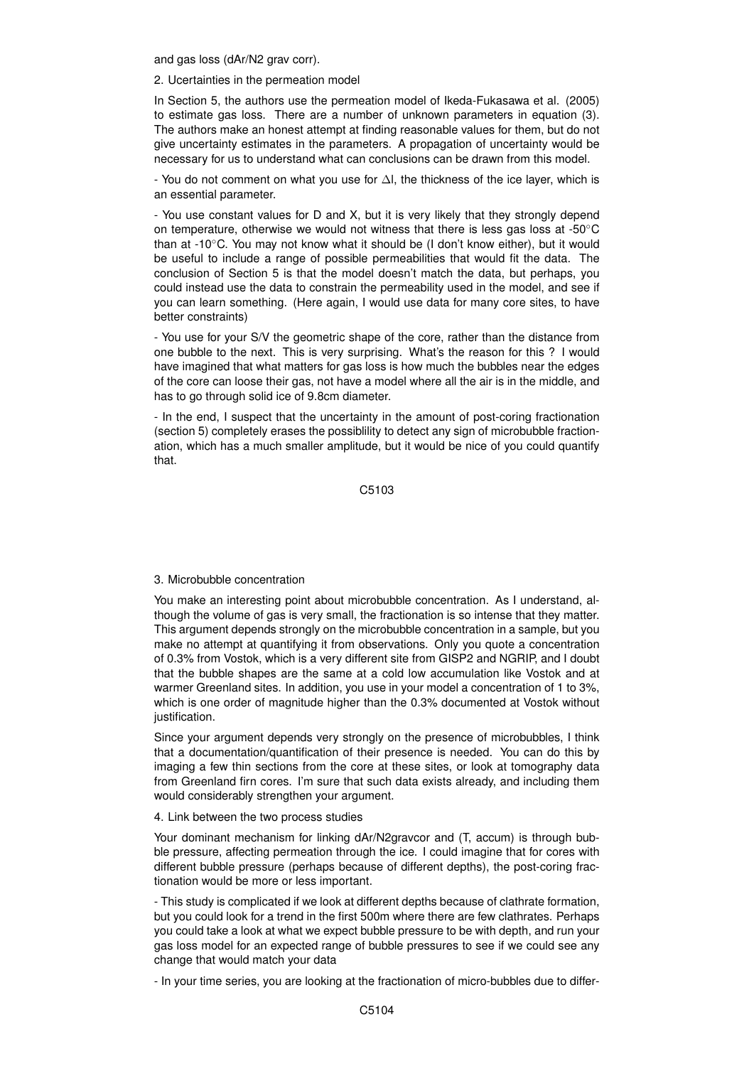and gas loss (dAr/N2 grav corr).

2. Ucertainties in the permeation model

In Section 5, the authors use the permeation model of Ikeda-Fukasawa et al. (2005) to estimate gas loss. There are a number of unknown parameters in equation (3). The authors make an honest attempt at finding reasonable values for them, but do not give uncertainty estimates in the parameters. A propagation of uncertainty would be necessary for us to understand what can conclusions can be drawn from this model.

- You do not comment on what you use for ∆l, the thickness of the ice layer, which is an essential parameter.

- You use constant values for D and X, but it is very likely that they strongly depend on temperature, otherwise we would not witness that there is less gas loss at -50◦C than at -10◦C. You may not know what it should be (I don't know either), but it would be useful to include a range of possible permeabilities that would fit the data. The conclusion of Section 5 is that the model doesn't match the data, but perhaps, you could instead use the data to constrain the permeability used in the model, and see if you can learn something. (Here again, I would use data for many core sites, to have better constraints)

- You use for your S/V the geometric shape of the core, rather than the distance from one bubble to the next. This is very surprising. What's the reason for this ? I would have imagined that what matters for gas loss is how much the bubbles near the edges of the core can loose their gas, not have a model where all the air is in the middle, and has to go through solid ice of 9.8cm diameter.

- In the end, I suspect that the uncertainty in the amount of post-coring fractionation (section 5) completely erases the possiblility to detect any sign of microbubble fractionation, which has a much smaller amplitude, but it would be nice of you could quantify that.

C5103

## 3. Microbubble concentration

You make an interesting point about microbubble concentration. As I understand, although the volume of gas is very small, the fractionation is so intense that they matter. This argument depends strongly on the microbubble concentration in a sample, but you make no attempt at quantifying it from observations. Only you quote a concentration of 0.3% from Vostok, which is a very different site from GISP2 and NGRIP, and I doubt that the bubble shapes are the same at a cold low accumulation like Vostok and at warmer Greenland sites. In addition, you use in your model a concentration of 1 to 3%, which is one order of magnitude higher than the 0.3% documented at Vostok without justification.

Since your argument depends very strongly on the presence of microbubbles, I think that a documentation/quantification of their presence is needed. You can do this by imaging a few thin sections from the core at these sites, or look at tomography data from Greenland firn cores. I'm sure that such data exists already, and including them would considerably strengthen your argument.

4. Link between the two process studies

Your dominant mechanism for linking dAr/N2gravcor and (T, accum) is through bubble pressure, affecting permeation through the ice. I could imagine that for cores with different bubble pressure (perhaps because of different depths), the post-coring fractionation would be more or less important.

- This study is complicated if we look at different depths because of clathrate formation, but you could look for a trend in the first 500m where there are few clathrates. Perhaps you could take a look at what we expect bubble pressure to be with depth, and run your gas loss model for an expected range of bubble pressures to see if we could see any change that would match your data

- In your time series, you are looking at the fractionation of micro-bubbles due to differ-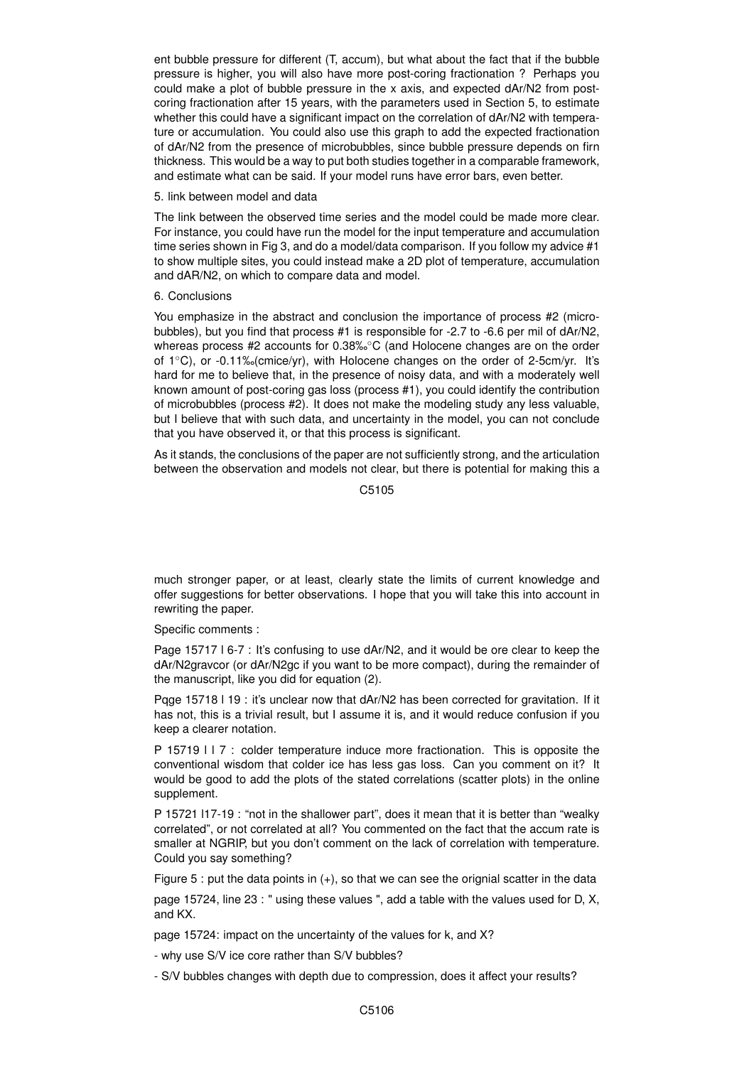ent bubble pressure for different (T, accum), but what about the fact that if the bubble pressure is higher, you will also have more post-coring fractionation ? Perhaps you could make a plot of bubble pressure in the x axis, and expected dAr/N2 from postcoring fractionation after 15 years, with the parameters used in Section 5, to estimate whether this could have a significant impact on the correlation of dAr/N2 with temperature or accumulation. You could also use this graph to add the expected fractionation of dAr/N2 from the presence of microbubbles, since bubble pressure depends on firn thickness. This would be a way to put both studies together in a comparable framework, and estimate what can be said. If your model runs have error bars, even better.

5. link between model and data

The link between the observed time series and the model could be made more clear. For instance, you could have run the model for the input temperature and accumulation time series shown in Fig 3, and do a model/data comparison. If you follow my advice #1 to show multiple sites, you could instead make a 2D plot of temperature, accumulation and dAR/N2, on which to compare data and model.

## 6. Conclusions

You emphasize in the abstract and conclusion the importance of process #2 (microbubbles), but you find that process #1 is responsible for -2.7 to -6.6 per mil of dAr/N2, whereas process #2 accounts for 0.38‰°C (and Holocene changes are on the order of 1◦C), or -0.11‰(cmice/yr), with Holocene changes on the order of 2-5cm/yr. It's hard for me to believe that, in the presence of noisy data, and with a moderately well known amount of post-coring gas loss (process #1), you could identify the contribution of microbubbles (process #2). It does not make the modeling study any less valuable, but I believe that with such data, and uncertainty in the model, you can not conclude that you have observed it, or that this process is significant.

As it stands, the conclusions of the paper are not sufficiently strong, and the articulation between the observation and models not clear, but there is potential for making this a

C5105

much stronger paper, or at least, clearly state the limits of current knowledge and offer suggestions for better observations. I hope that you will take this into account in rewriting the paper.

Specific comments :

Page 15717 l 6-7 : It's confusing to use dAr/N2, and it would be ore clear to keep the dAr/N2gravcor (or dAr/N2gc if you want to be more compact), during the remainder of the manuscript, like you did for equation (2).

Pqge 15718 l 19 : it's unclear now that dAr/N2 has been corrected for gravitation. If it has not, this is a trivial result, but I assume it is, and it would reduce confusion if you keep a clearer notation.

P 15719 l l 7 : colder temperature induce more fractionation. This is opposite the conventional wisdom that colder ice has less gas loss. Can you comment on it? It would be good to add the plots of the stated correlations (scatter plots) in the online supplement.

P 15721 l17-19 : "not in the shallower part", does it mean that it is better than "wealky correlated", or not correlated at all? You commented on the fact that the accum rate is smaller at NGRIP, but you don't comment on the lack of correlation with temperature. Could you say something?

Figure 5 : put the data points in (+), so that we can see the orignial scatter in the data

page 15724, line 23 : " using these values ", add a table with the values used for D, X, and KX.

page 15724: impact on the uncertainty of the values for k, and X?

- why use S/V ice core rather than S/V bubbles?

- S/V bubbles changes with depth due to compression, does it affect your results?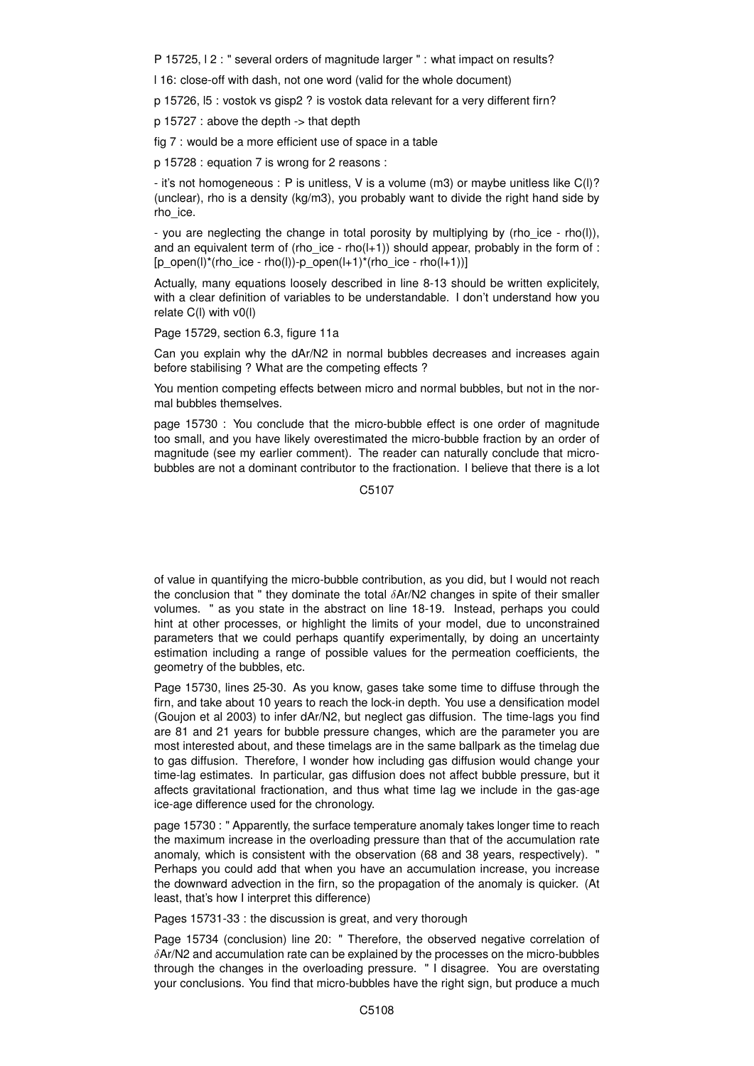P 15725, l 2 : " several orders of magnitude larger " : what impact on results?

l 16: close-off with dash, not one word (valid for the whole document)

p 15726, l5 : vostok vs gisp2 ? is vostok data relevant for a very different firn?

p 15727 : above the depth -> that depth

fig 7 : would be a more efficient use of space in a table

p 15728 : equation 7 is wrong for 2 reasons :

- it's not homogeneous : P is unitless, V is a volume (m3) or maybe unitless like C(l)? (unclear), rho is a density (kg/m3), you probably want to divide the right hand side by rho\_ice.

- you are neglecting the change in total porosity by multiplying by (rho ice - rho(l)), and an equivalent term of (rho ice - rho( $l+1$ )) should appear, probably in the form of :  $[p\_open(l)*(rho\_ice - rho(l))-p\_open(l+1)*(rho\_ice - rho(l+1))]$ 

Actually, many equations loosely described in line 8-13 should be written explicitely, with a clear definition of variables to be understandable. I don't understand how you relate C(l) with v0(l)

Page 15729, section 6.3, figure 11a

Can you explain why the dAr/N2 in normal bubbles decreases and increases again before stabilising ? What are the competing effects ?

You mention competing effects between micro and normal bubbles, but not in the normal bubbles themselves.

page 15730 : You conclude that the micro-bubble effect is one order of magnitude too small, and you have likely overestimated the micro-bubble fraction by an order of magnitude (see my earlier comment). The reader can naturally conclude that microbubbles are not a dominant contributor to the fractionation. I believe that there is a lot

C5107

of value in quantifying the micro-bubble contribution, as you did, but I would not reach the conclusion that " they dominate the total  $\delta$ Ar/N2 changes in spite of their smaller volumes. " as you state in the abstract on line 18-19. Instead, perhaps you could hint at other processes, or highlight the limits of your model, due to unconstrained parameters that we could perhaps quantify experimentally, by doing an uncertainty estimation including a range of possible values for the permeation coefficients, the geometry of the bubbles, etc.

Page 15730, lines 25-30. As you know, gases take some time to diffuse through the firn, and take about 10 years to reach the lock-in depth. You use a densification model (Goujon et al 2003) to infer dAr/N2, but neglect gas diffusion. The time-lags you find are 81 and 21 years for bubble pressure changes, which are the parameter you are most interested about, and these timelags are in the same ballpark as the timelag due to gas diffusion. Therefore, I wonder how including gas diffusion would change your time-lag estimates. In particular, gas diffusion does not affect bubble pressure, but it affects gravitational fractionation, and thus what time lag we include in the gas-age ice-age difference used for the chronology.

page 15730 : " Apparently, the surface temperature anomaly takes longer time to reach the maximum increase in the overloading pressure than that of the accumulation rate anomaly, which is consistent with the observation (68 and 38 years, respectively). " Perhaps you could add that when you have an accumulation increase, you increase the downward advection in the firn, so the propagation of the anomaly is quicker. (At least, that's how I interpret this difference)

Pages 15731-33 : the discussion is great, and very thorough

Page 15734 (conclusion) line 20: " Therefore, the observed negative correlation of  $\delta$ Ar/N2 and accumulation rate can be explained by the processes on the micro-bubbles through the changes in the overloading pressure. " I disagree. You are overstating your conclusions. You find that micro-bubbles have the right sign, but produce a much